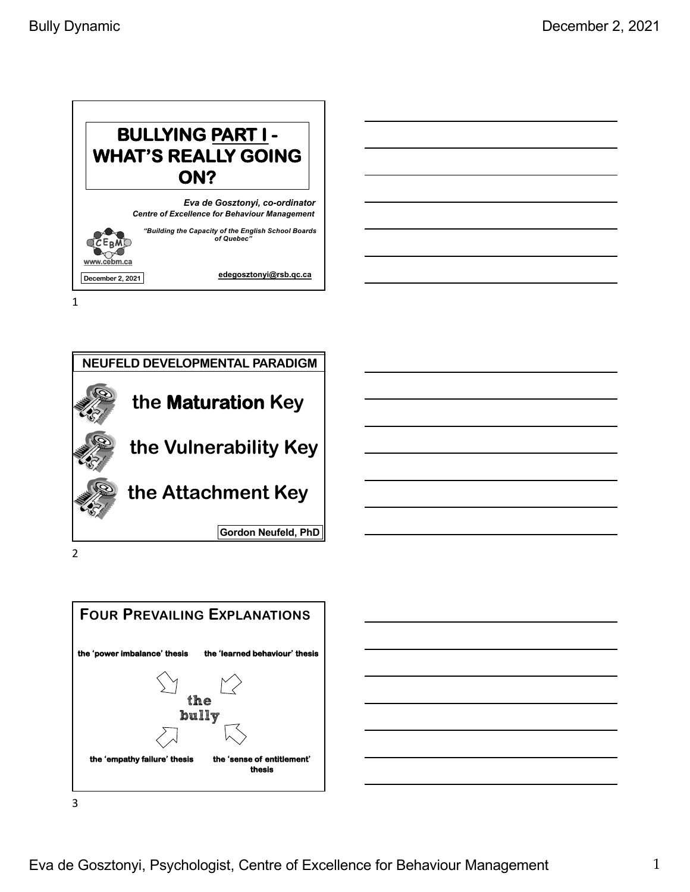



2



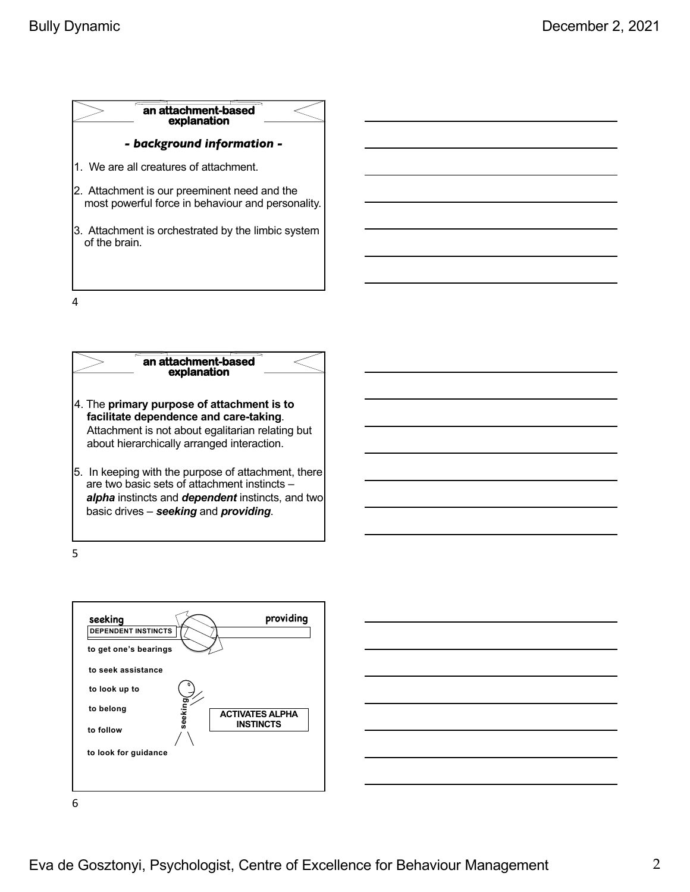





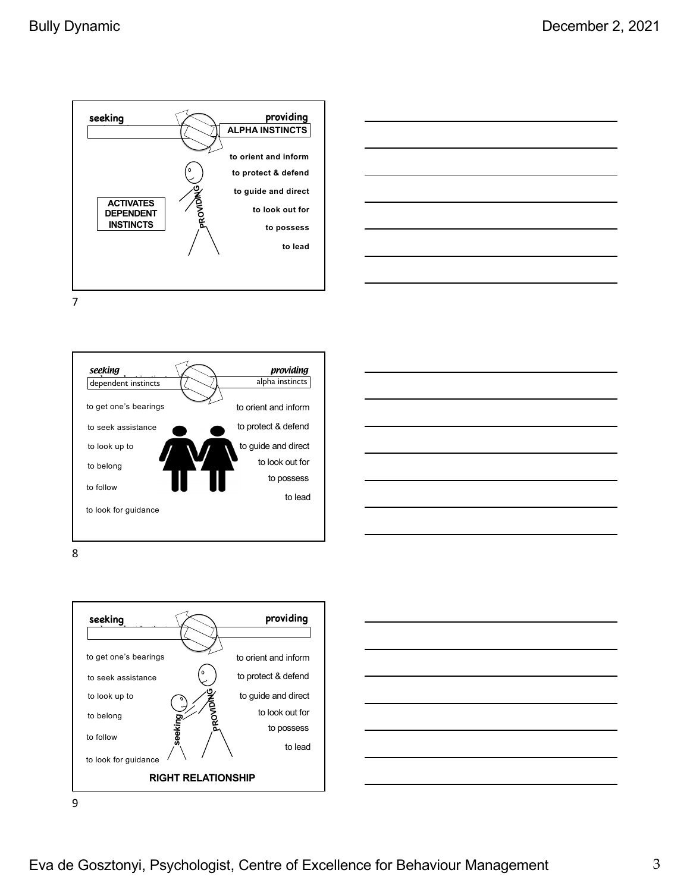







8



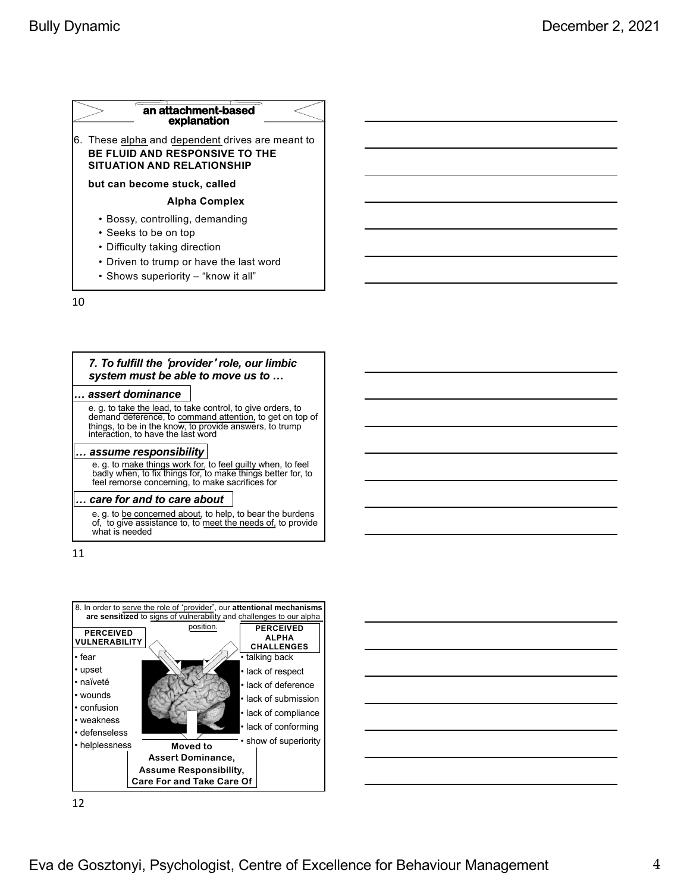### 6. These alpha and dependent drives are meant to **BE FLUID AND RESPONSIVE TO THE SITUATION AND RELATIONSHIP but can become stuck, called Alpha Complex** • Bossy, controlling, demanding • Seeks to be on top • Difficulty taking direction **an attachment-based explanation**

- Driven to trump or have the last word
- Shows superiority "know it all"

10

### *7. To fulfill the* ʻ*provider*<sup>&#</sup>x27; *role, our limbic system must be able to move us to …*

#### *… assert dominance*

e. g. to take the lead, to take control, to give orders, to demand deference, to command attention, to get on top of things, to be in the know, to provide answers, to trump interaction, to have the last word

#### *… assume responsibility*

e. g. to make things work for, to feel guilty when, to feel badly when, to fix things for, to make things better for, to feel remorse concerning, to make sacrifices for

#### *… care for and to care about*

e. g. to be concerned about, to help, to bear the burdens<br>of, to give assistance to, to meet the needs of, to provide what is needed

11

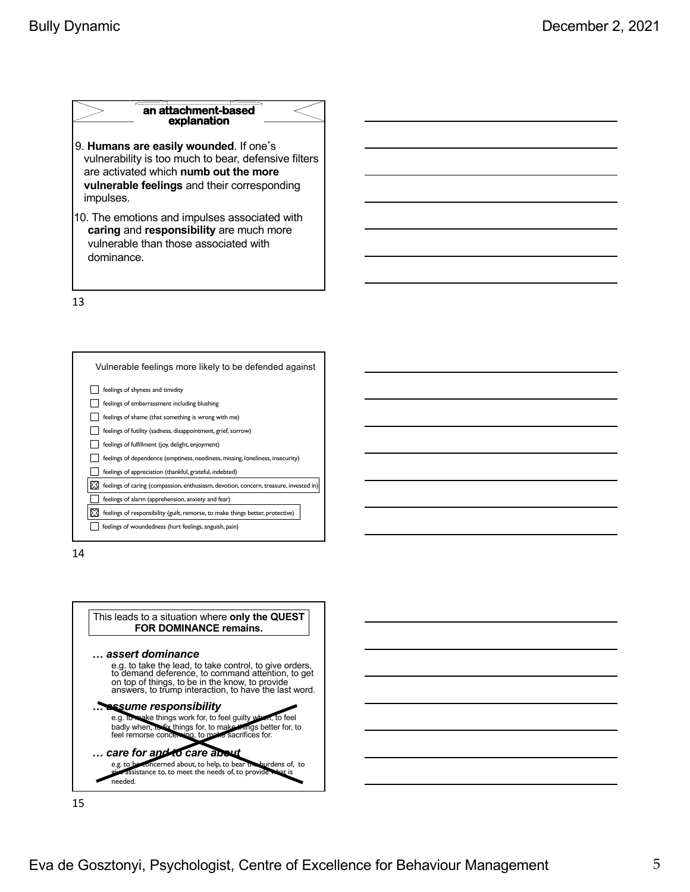### **an attachment-based explanation**

- 9. **Humans are easily wounded**. If one's vulnerability is too much to bear, defensive filters are activated which **numb out the more vulnerable feelings** and their corresponding impulses.
- 10. The emotions and impulses associated with **caring** and **responsibility** are much more vulnerable than those associated with dominance.

13



14



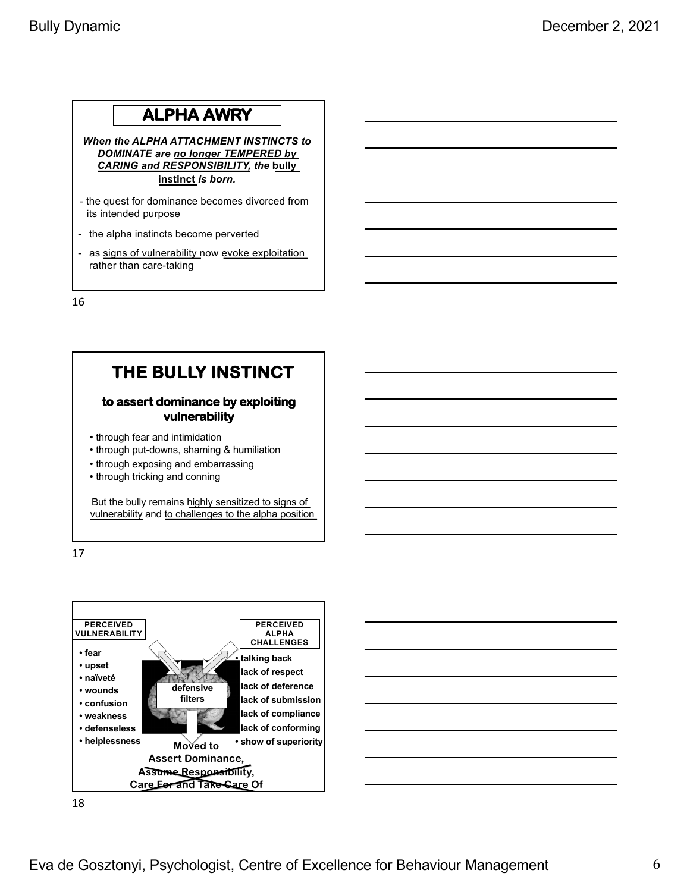## **ALPHA AWRY**

*When the ALPHA ATTACHMENT INSTINCTS to DOMINATE are no longer TEMPERED by CARING and RESPONSIBILITY, the* **bully instinct** *is born.* 

- the quest for dominance becomes divorced from its intended purpose
- the alpha instincts become perverted
- as signs of vulnerability now evoke exploitation rather than care-taking

16

# **THE BULLY INSTINCT**

### **to assert dominance by exploiting vulnerability**

- through fear and intimidation
- through put-downs, shaming & humiliation
- through exposing and embarrassing
- through tricking and conning

But the bully remains highly sensitized to signs of vulnerability and to challenges to the alpha position

17

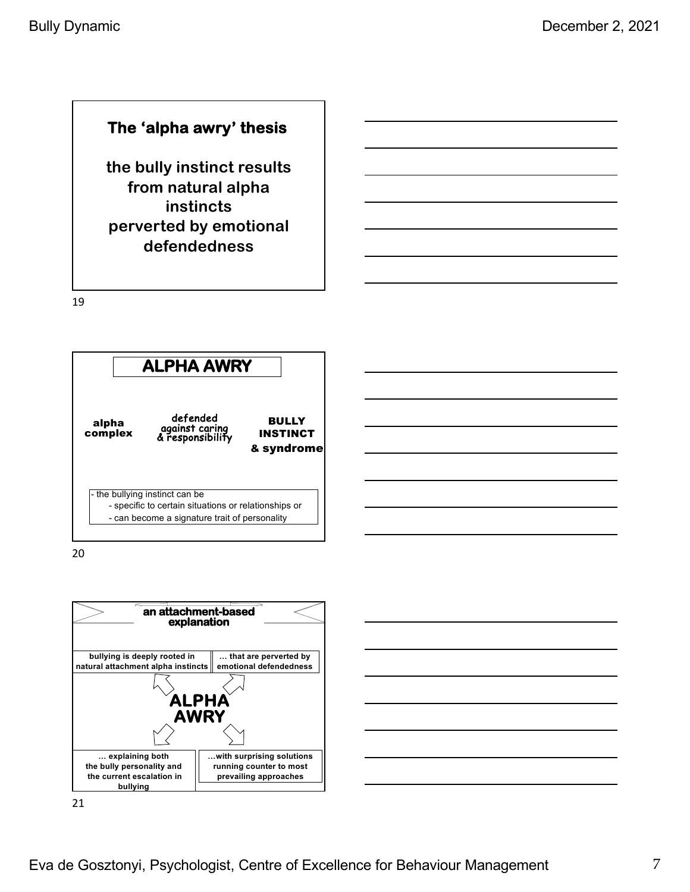## **The 'alpha awry' thesis**

**the bully instinct results from natural alpha instincts perverted by emotional defendedness**

19



20



|        | and the control of |
|--------|--------------------|
|        |                    |
| --     |                    |
| $\sim$ | _____              |
| _      |                    |
|        |                    |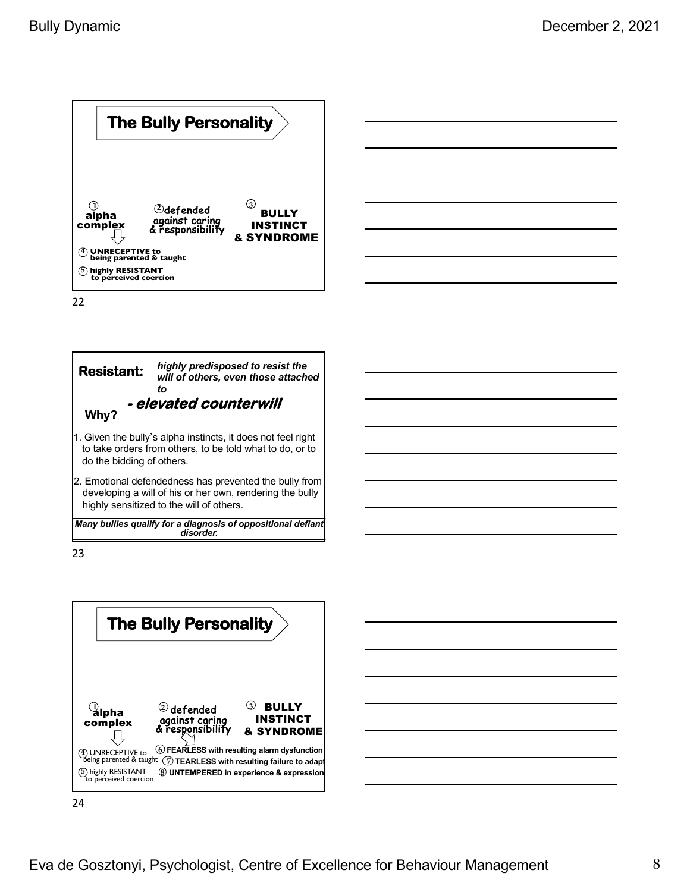



23



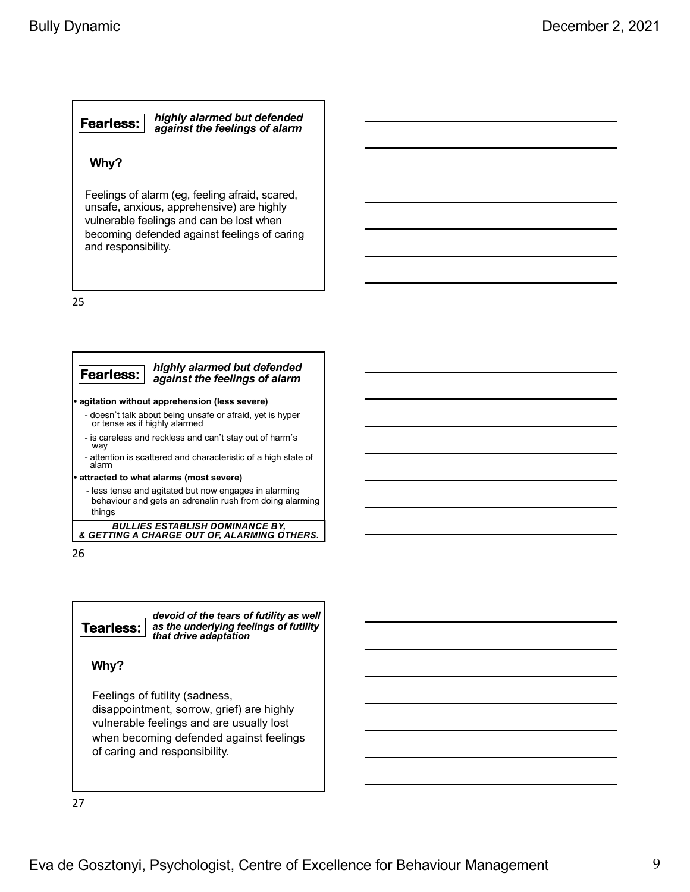#### **Fearless:** *highly alarmed but defended against the feelings of alarm*

### **Why?**

Feelings of alarm (eg, feeling afraid, scared, unsafe, anxious, apprehensive) are highly vulnerable feelings and can be lost when becoming defended against feelings of caring and responsibility.

25



behaviour and gets an adrenalin rush from doing alarming things

*BULLIES ESTABLISH DOMINANCE BY, & GETTING A CHARGE OUT OF, ALARMING OTHERS.*

26

**Tearless:** *devoid of the tears of futility as well as the underlying feelings of futility that drive adaptation* 

**Why?**

Feelings of futility (sadness, disappointment, sorrow, grief) are highly vulnerable feelings and are usually lost when becoming defended against feelings of caring and responsibility.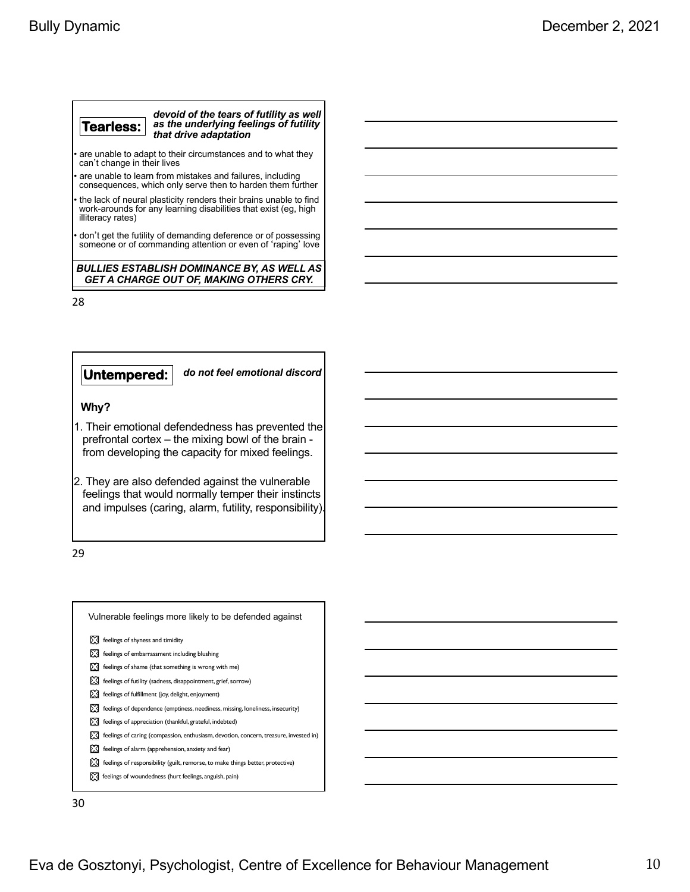| Tearless:                                                                                    | devoid of the tears of futility as well<br>as the underlying feelings of futility<br>that drive adaptation |
|----------------------------------------------------------------------------------------------|------------------------------------------------------------------------------------------------------------|
| • are unable to adapt to their circumstances and to what they<br>can't change in their lives |                                                                                                            |

• are unable to learn from mistakes and failures, including consequences, which only serve then to harden them further

• the lack of neural plasticity renders their brains unable to find work-arounds for any learning disabilities that exist (eg, high illiteracy rates)

• don't get the futility of demanding deference or of possessing someone or of commanding attention or even of ʻraping' love

*BULLIES ESTABLISH DOMINANCE BY, AS WELL AS GET A CHARGE OUT OF, MAKING OTHERS CRY.*

28

**Untempered:** *do not feel emotional discord* **Why?** 1. Their emotional defendedness has prevented the prefrontal cortex – the mixing bowl of the brain -

2. They are also defended against the vulnerable feelings that would normally temper their instincts and impulses (caring, alarm, futility, responsibility).

from developing the capacity for mixed feelings.

29

| Vulnerable feelings more likely to be defended against                                |
|---------------------------------------------------------------------------------------|
| ls:31<br>feelings of shyness and timidity                                             |
| X feelings of embarrassment including blushing                                        |
| feelings of shame (that something is wrong with me)                                   |
| ⊠<br>feelings of futility (sadness, disappointment, grief, sorrow)                    |
| [XX] feelings of fulfillment (joy, delight, enjoyment)                                |
| feelings of dependence (emptiness, neediness, missing, loneliness, insecurity)        |
| D.A<br>feelings of appreciation (thankful, grateful, indebted)                        |
| feelings of caring (compassion, enthusiasm, devotion, concern, treasure, invested in) |
| ⊠<br>feelings of alarm (apprehension, anxiety and fear)                               |
| feelings of responsibility (guilt, remorse, to make things better, protective)        |
| M<br>feelings of woundedness (hurt feelings, anguish, pain)                           |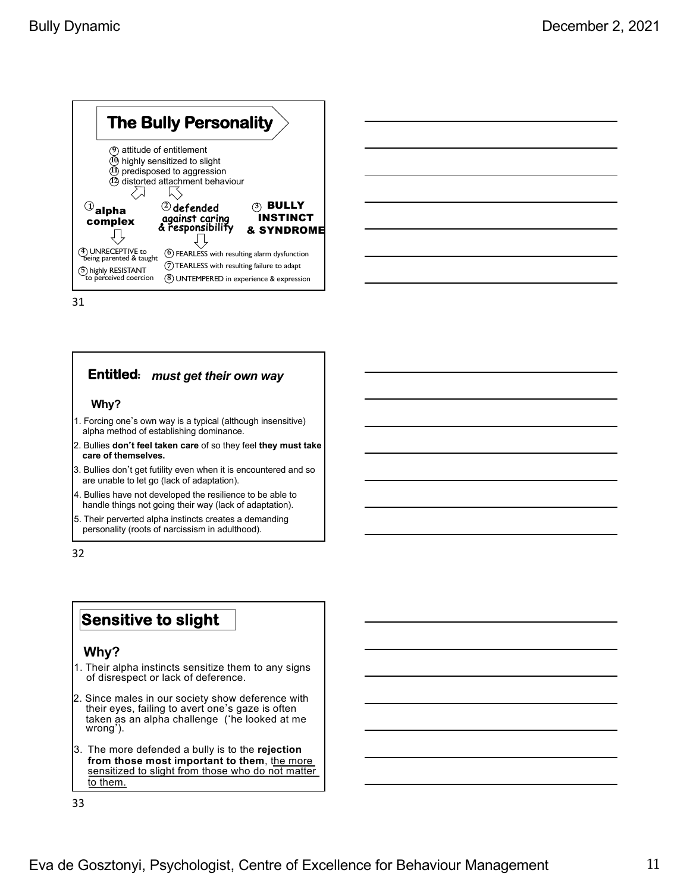

## **Entitled**: *must get their own way*

#### **Why?**

- 1. Forcing one's own way is a typical (although insensitive) alpha method of establishing dominance.
- 2. Bullies **don**'**t feel taken care** of so they feel **they must take care of themselves.**
- 3. Bullies don't get futility even when it is encountered and so are unable to let go (lack of adaptation).
- 4. Bullies have not developed the resilience to be able to handle things not going their way (lack of adaptation).
- 5. Their perverted alpha instincts creates a demanding personality (roots of narcissism in adulthood).

32

## **Sensitive to slight**

### **Why?**

- 1. Their alpha instincts sensitize them to any signs of disrespect or lack of deference.
- 2. Since males in our society show deference with their eyes, failing to avert one's gaze is often taken as an alpha challenge (ʻhe looked at me wrong').
- 3. The more defended a bully is to the **rejection from those most important to them**, the more sensitized to slight from those who do not matter to them.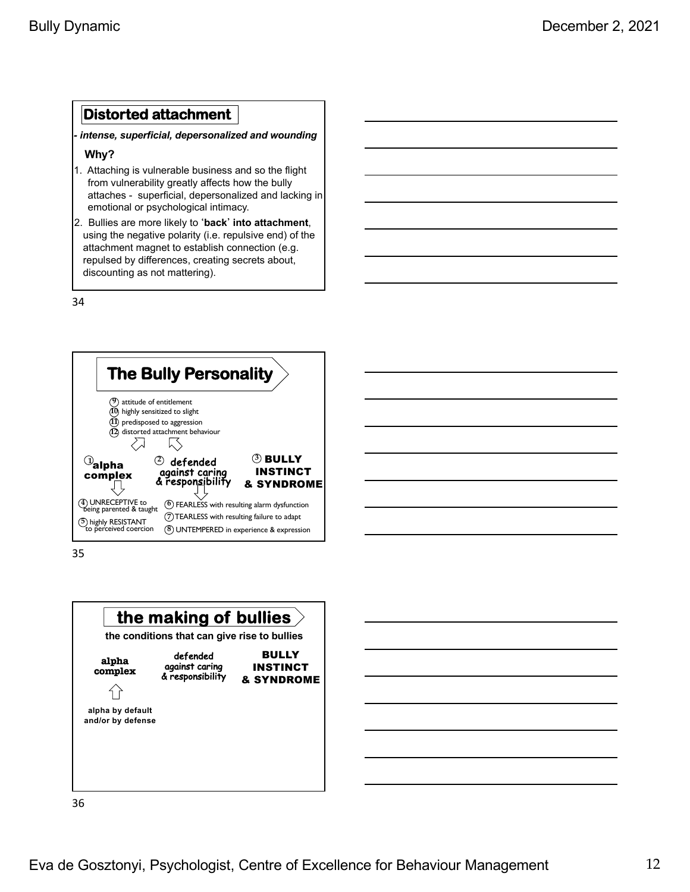## **Distorted attachment**

*- intense, superficial, depersonalized and wounding*

### **Why?**

- 1. Attaching is vulnerable business and so the flight from vulnerability greatly affects how the bully attaches - superficial, depersonalized and lacking in emotional or psychological intimacy.
- 2. Bullies are more likely to ʻ**back**' **into attachment**, using the negative polarity (i.e. repulsive end) of the attachment magnet to establish connection (e.g. repulsed by differences, creating secrets about, discounting as not mattering).

34



35



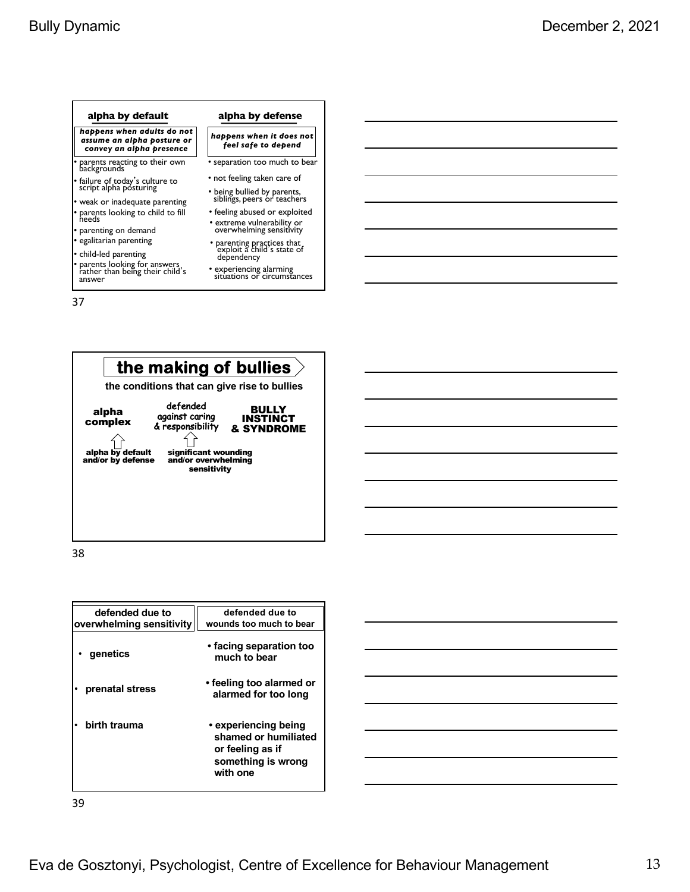#### *happens when adults do not assume an alpha posture or convey an alpha presence happens when it does not feel safe to depend* • parents reacting to their own backgrounds • failure of today's culture to script alpha posturing weak or inadequate parenting • parents looking to child to fill needs • parenting on demand • egalitarian parenting • child-led parenting • parents looking for answers rather than being their child<sup>&#</sup>x27;s answer • separation too much to bear • not feeling taken care of • being bullied by parents, siblings, peers or teachers • feeling abused or exploited • extreme vulnerability or overwhelming sensitivity • parenting practices that<br>exploit a child's state of dependency • experiencing alarming situations or circumstances **alpha by default alpha by defense**

37



38

| defended due to<br>overwhelming sensitivity | defended due to<br>wounds too much to bear                                                         |
|---------------------------------------------|----------------------------------------------------------------------------------------------------|
| qenetics                                    | • facing separation too<br>much to bear                                                            |
| prenatal stress                             | • feeling too alarmed or<br>alarmed for too long                                                   |
| birth trauma                                | • experiencing being<br>shamed or humiliated<br>or feeling as if<br>something is wrong<br>with one |